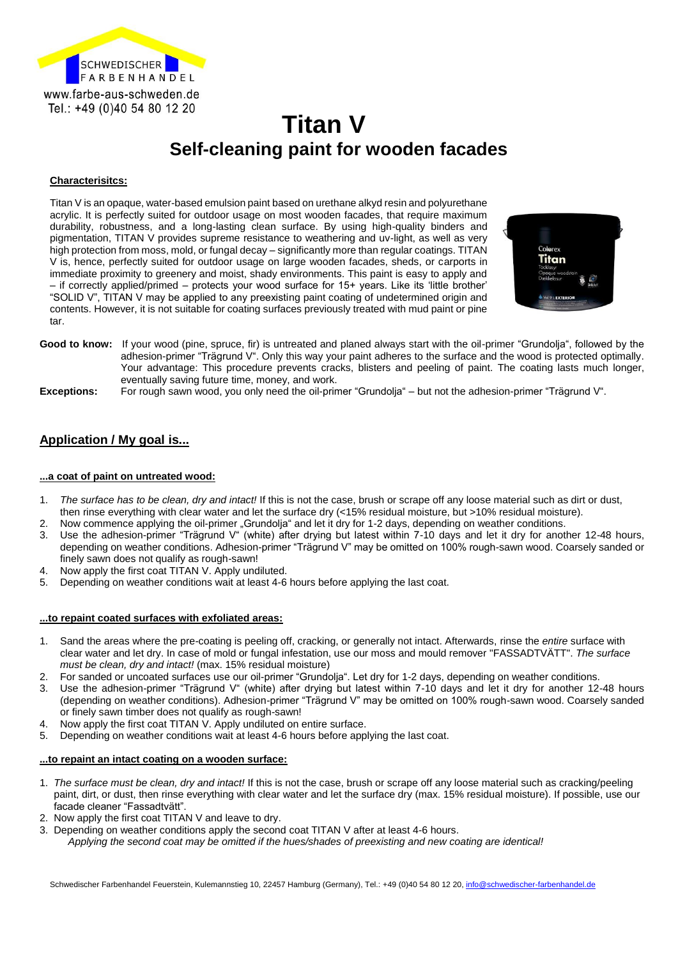

# **Titan V Self-cleaning paint for wooden facades**

#### **Characterisitcs:**

Titan V is an opaque, water-based emulsion paint based on urethane alkyd resin and polyurethane acrylic. It is perfectly suited for outdoor usage on most wooden facades, that require maximum durability, robustness, and a long-lasting clean surface. By using high-quality binders and pigmentation, TITAN V provides supreme resistance to weathering and uv-light, as well as very high protection from moss, mold, or fungal decay – significantly more than regular coatings. TITAN V is, hence, perfectly suited for outdoor usage on large wooden facades, sheds, or carports in immediate proximity to greenery and moist, shady environments. This paint is easy to apply and – if correctly applied/primed – protects your wood surface for 15+ years. Like its 'little brother' "SOLID V", TITAN V may be applied to any preexisting paint coating of undetermined origin and contents. However, it is not suitable for coating surfaces previously treated with mud paint or pine tar.



**Good to know:** If your wood (pine, spruce, fir) is untreated and planed always start with the oil-primer "Grundolja", followed by the adhesion-primer "Trägrund V". Only this way your paint adheres to the surface and the wood is protected optimally. Your advantage: This procedure prevents cracks, blisters and peeling of paint. The coating lasts much longer, eventually saving future time, money, and work.

**Exceptions:** For rough sawn wood, you only need the oil-primer "Grundolja" – but not the adhesion-primer "Trägrund V".

### **Application / My goal is...**

#### **...a coat of paint on untreated wood:**

- 1. *The surface has to be clean, dry and intact!* If this is not the case, brush or scrape off any loose material such as dirt or dust, then rinse everything with clear water and let the surface dry (<15% residual moisture, but >10% residual moisture).
- 2. Now commence applying the oil-primer "Grundolja" and let it dry for 1-2 days, depending on weather conditions.
- 3. Use the adhesion-primer "Trägrund V" (white) after drying but latest within 7-10 days and let it dry for another 12-48 hours, depending on weather conditions. Adhesion-primer "Trägrund V" may be omitted on 100% rough-sawn wood. Coarsely sanded or finely sawn does not qualify as rough-sawn!
- 4. Now apply the first coat TITAN V. Apply undiluted.
- 5. Depending on weather conditions wait at least 4-6 hours before applying the last coat.

#### **...to repaint coated surfaces with exfoliated areas:**

- 1. Sand the areas where the pre-coating is peeling off, cracking, or generally not intact. Afterwards, rinse the *entire* surface with clear water and let dry. In case of mold or fungal infestation, use our moss and mould remover "FASSADTVÄTT". *The surface must be clean, dry and intact!* (max. 15% residual moisture)
- 2. For sanded or uncoated surfaces use our oil-primer "Grundolja". Let dry for 1-2 days, depending on weather conditions.
- 3. Use the adhesion-primer "Trägrund V" (white) after drying but latest within 7-10 days and let it dry for another 12-48 hours (depending on weather conditions). Adhesion-primer "Trägrund V" may be omitted on 100% rough-sawn wood. Coarsely sanded or finely sawn timber does not qualify as rough-sawn!
- 4. Now apply the first coat TITAN V. Apply undiluted on entire surface.
- 5. Depending on weather conditions wait at least 4-6 hours before applying the last coat.

#### **...to repaint an intact coating on a wooden surface:**

- 1. *The surface must be clean, dry and intact!* If this is not the case, brush or scrape off any loose material such as cracking/peeling paint, dirt, or dust, then rinse everything with clear water and let the surface dry (max. 15% residual moisture). If possible, use our facade cleaner "Fassadtvätt".
- 2. Now apply the first coat TITAN V and leave to dry.
- 3. Depending on weather conditions apply the second coat TITAN V after at least 4-6 hours.
	- *Applying the second coat may be omitted if the hues/shades of preexisting and new coating are identical!*